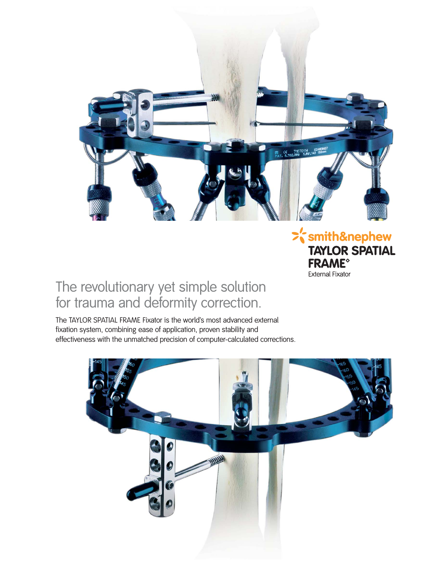

## $\frac{1}{2}$ 's mith & nephew **TAYLOR SPATIAL FRAME<sup>®</sup> External Fixator**

# The revolutionary yet simple solution for trauma and deformity correction.

The TAYLOR SPATIAL FRAME Fixator is the world's most advanced external fixation system, combining ease of application, proven stability and effectiveness with the unmatched precision of computer-calculated corrections.